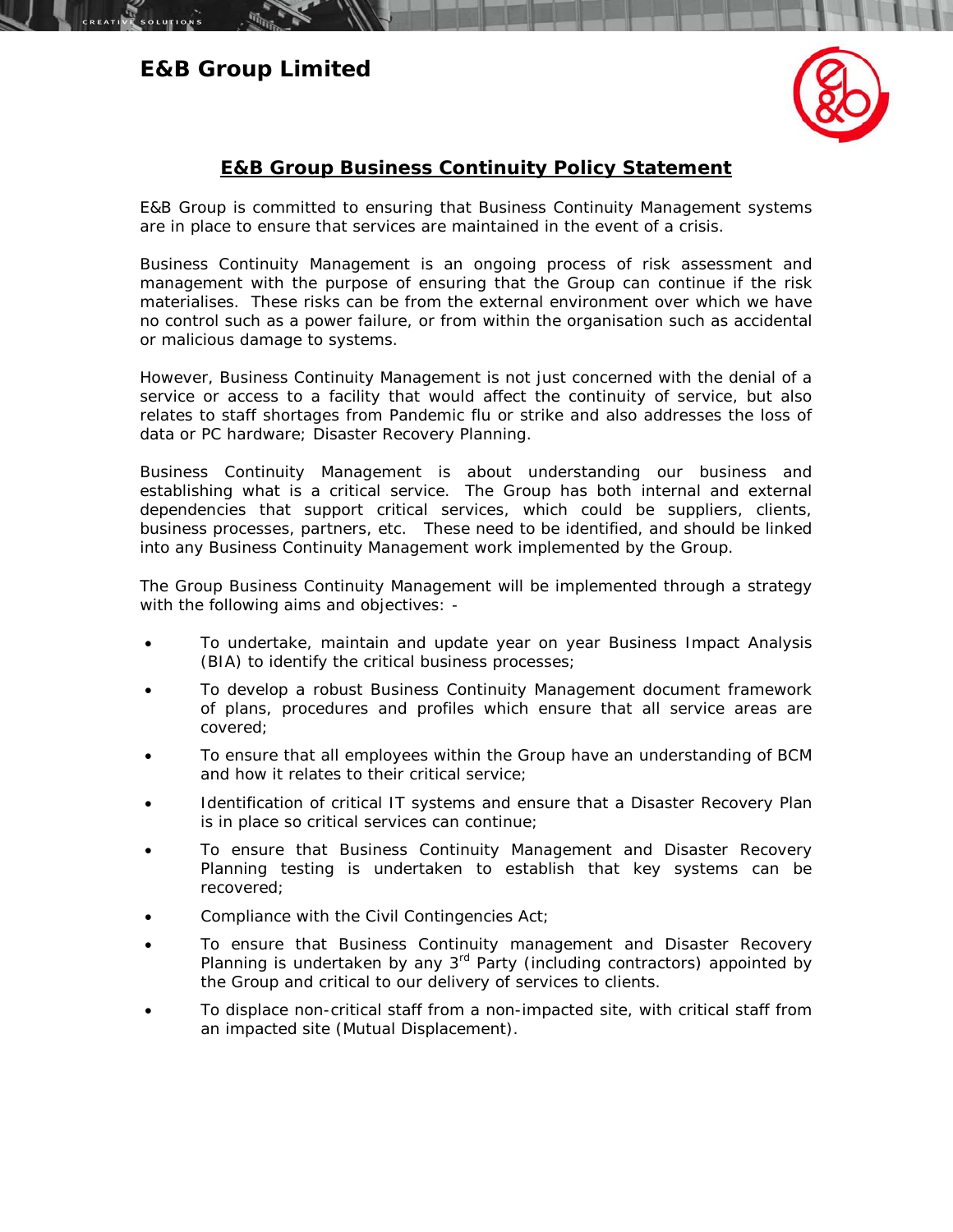## **E&B Group Limited**



## **E&B Group Business Continuity Policy Statement**

E&B Group is committed to ensuring that Business Continuity Management systems are in place to ensure that services are maintained in the event of a crisis.

Business Continuity Management is an ongoing process of risk assessment and management with the purpose of ensuring that the Group can continue if the risk materialises. These risks can be from the external environment over which we have no control such as a power failure, or from within the organisation such as accidental or malicious damage to systems.

However, Business Continuity Management is not just concerned with the denial of a service or access to a facility that would affect the continuity of service, but also relates to staff shortages from Pandemic flu or strike and also addresses the loss of data or PC hardware; Disaster Recovery Planning.

Business Continuity Management is about understanding our business and establishing what is a critical service. The Group has both internal and external dependencies that support critical services, which could be suppliers, clients, business processes, partners, etc. These need to be identified, and should be linked into any Business Continuity Management work implemented by the Group.

The Group Business Continuity Management will be implemented through a strategy with the following aims and objectives: -

- To undertake, maintain and update year on year Business Impact Analysis (BIA) to identify the critical business processes;
- To develop a robust Business Continuity Management document framework of plans, procedures and profiles which ensure that all service areas are covered;
- To ensure that all employees within the Group have an understanding of BCM and how it relates to their critical service;
- Identification of critical IT systems and ensure that a Disaster Recovery Plan is in place so critical services can continue;
- To ensure that Business Continuity Management and Disaster Recovery Planning testing is undertaken to establish that key systems can be recovered;
- Compliance with the Civil Contingencies Act;
- To ensure that Business Continuity management and Disaster Recovery Planning is undertaken by any 3<sup>rd</sup> Party (including contractors) appointed by the Group and critical to our delivery of services to clients.
- To displace non-critical staff from a non-impacted site, with critical staff from an impacted site (Mutual Displacement).